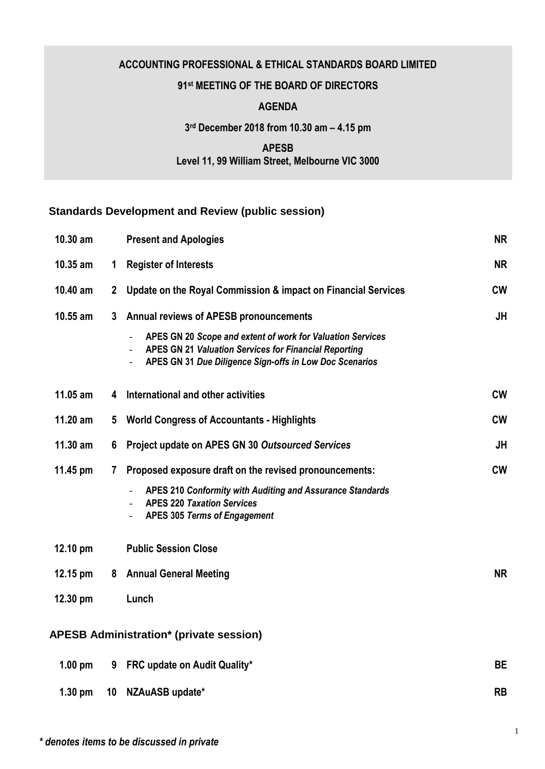## **ACCOUNTING PROFESSIONAL & ETHICAL STANDARDS BOARD LIMITED**

## **91 st MEETING OF THE BOARD OF DIRECTORS**

## **AGENDA**

**3 rd December 2018 from 10.30 am – 4.15 pm**

**APESB Level 11, 99 William Street, Melbourne VIC 3000**

## **Standards Development and Review (public session)**

| 10.30 am   |                | <b>Present and Apologies</b>                                                                                                                                                          | <b>NR</b> |
|------------|----------------|---------------------------------------------------------------------------------------------------------------------------------------------------------------------------------------|-----------|
| 10.35 am   | 1              | <b>Register of Interests</b>                                                                                                                                                          | <b>NR</b> |
| 10.40 am   | $\mathbf{2}$   | Update on the Royal Commission & impact on Financial Services                                                                                                                         | <b>CW</b> |
| $10.55$ am | 3 <sup>1</sup> | <b>Annual reviews of APESB pronouncements</b>                                                                                                                                         | <b>JH</b> |
|            |                | APES GN 20 Scope and extent of work for Valuation Services<br><b>APES GN 21 Valuation Services for Financial Reporting</b><br>APES GN 31 Due Diligence Sign-offs in Low Doc Scenarios |           |
| $11.05$ am | 4              | International and other activities                                                                                                                                                    | <b>CW</b> |
| 11.20 am   | $5^{\circ}$    | <b>World Congress of Accountants - Highlights</b>                                                                                                                                     | <b>CW</b> |
| $11.30$ am | 6              | Project update on APES GN 30 Outsourced Services                                                                                                                                      | <b>JH</b> |
| $11.45$ pm | $\mathbf{7}$   | Proposed exposure draft on the revised pronouncements:                                                                                                                                | <b>CW</b> |
|            |                | APES 210 Conformity with Auditing and Assurance Standards<br><b>APES 220 Taxation Services</b><br><b>APES 305 Terms of Engagement</b>                                                 |           |
| 12.10 pm   |                | <b>Public Session Close</b>                                                                                                                                                           |           |
| 12.15 pm   |                | 8 Annual General Meeting                                                                                                                                                              | <b>NR</b> |
| 12.30 pm   |                | Lunch                                                                                                                                                                                 |           |
|            |                | <b>APESB Administration* (private session)</b>                                                                                                                                        |           |
| $1.00$ pm  | 9              | FRC update on Audit Quality*                                                                                                                                                          | <b>BE</b> |
| $1.30$ pm  | 10             | NZAuASB update*                                                                                                                                                                       | <b>RB</b> |